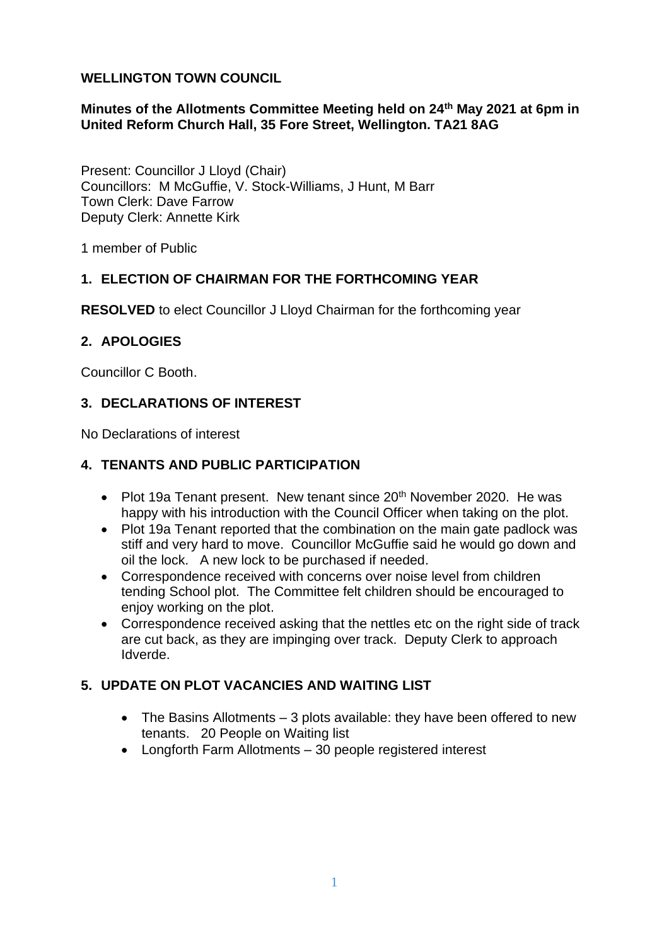#### **WELLINGTON TOWN COUNCIL**

#### **Minutes of the Allotments Committee Meeting held on 24th May 2021 at 6pm in United Reform Church Hall, 35 Fore Street, Wellington. TA21 8AG**

Present: Councillor J Lloyd (Chair) Councillors: M McGuffie, V. Stock-Williams, J Hunt, M Barr Town Clerk: Dave Farrow Deputy Clerk: Annette Kirk

1 member of Public

#### **1. ELECTION OF CHAIRMAN FOR THE FORTHCOMING YEAR**

**RESOLVED** to elect Councillor J Lloyd Chairman for the forthcoming year

#### **2. APOLOGIES**

Councillor C Booth.

# **3. DECLARATIONS OF INTEREST**

No Declarations of interest

#### **4. TENANTS AND PUBLIC PARTICIPATION**

- Plot 19a Tenant present. New tenant since  $20<sup>th</sup>$  November 2020. He was happy with his introduction with the Council Officer when taking on the plot.
- Plot 19a Tenant reported that the combination on the main gate padlock was stiff and very hard to move. Councillor McGuffie said he would go down and oil the lock. A new lock to be purchased if needed.
- Correspondence received with concerns over noise level from children tending School plot. The Committee felt children should be encouraged to enjoy working on the plot.
- Correspondence received asking that the nettles etc on the right side of track are cut back, as they are impinging over track. Deputy Clerk to approach Idverde.

# **5. UPDATE ON PLOT VACANCIES AND WAITING LIST**

- The Basins Allotments 3 plots available: they have been offered to new tenants. 20 People on Waiting list
- Longforth Farm Allotments 30 people registered interest